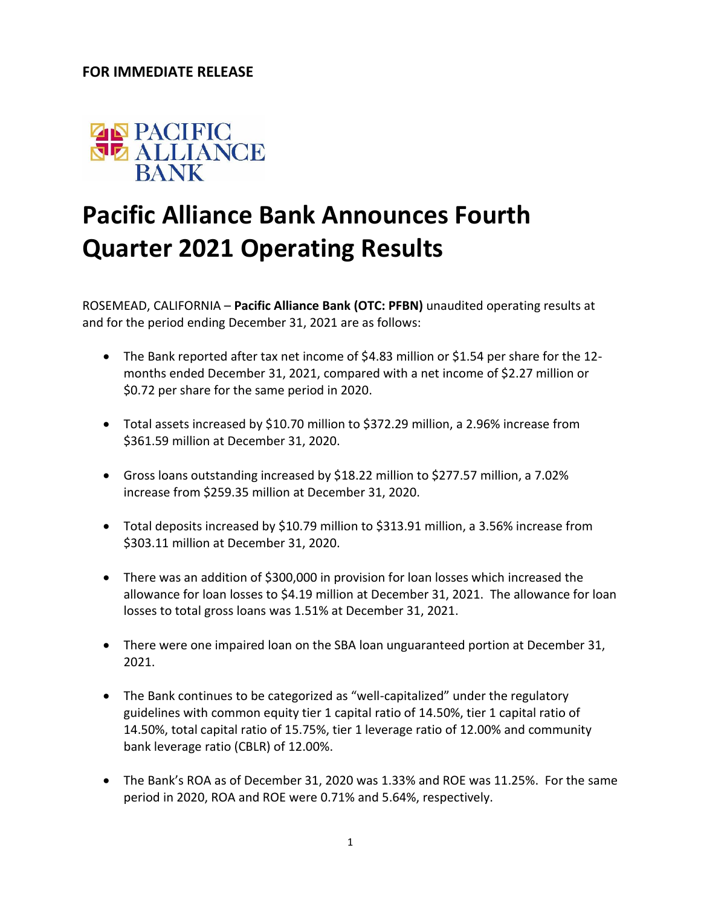## **FOR IMMEDIATE RELEASE**



## **Pacific Alliance Bank Announces Fourth Quarter 2021 Operating Results**

ROSEMEAD, CALIFORNIA – **Pacific Alliance Bank (OTC: PFBN)** unaudited operating results at and for the period ending December 31, 2021 are as follows:

- The Bank reported after tax net income of \$4.83 million or \$1.54 per share for the 12 months ended December 31, 2021, compared with a net income of \$2.27 million or \$0.72 per share for the same period in 2020.
- Total assets increased by \$10.70 million to \$372.29 million, a 2.96% increase from \$361.59 million at December 31, 2020.
- Gross loans outstanding increased by \$18.22 million to \$277.57 million, a 7.02% increase from \$259.35 million at December 31, 2020.
- Total deposits increased by \$10.79 million to \$313.91 million, a 3.56% increase from \$303.11 million at December 31, 2020.
- There was an addition of \$300,000 in provision for loan losses which increased the allowance for loan losses to \$4.19 million at December 31, 2021. The allowance for loan losses to total gross loans was 1.51% at December 31, 2021.
- There were one impaired loan on the SBA loan unguaranteed portion at December 31, 2021.
- The Bank continues to be categorized as "well-capitalized" under the regulatory guidelines with common equity tier 1 capital ratio of 14.50%, tier 1 capital ratio of 14.50%, total capital ratio of 15.75%, tier 1 leverage ratio of 12.00% and community bank leverage ratio (CBLR) of 12.00%.
- The Bank's ROA as of December 31, 2020 was 1.33% and ROE was 11.25%. For the same period in 2020, ROA and ROE were 0.71% and 5.64%, respectively.